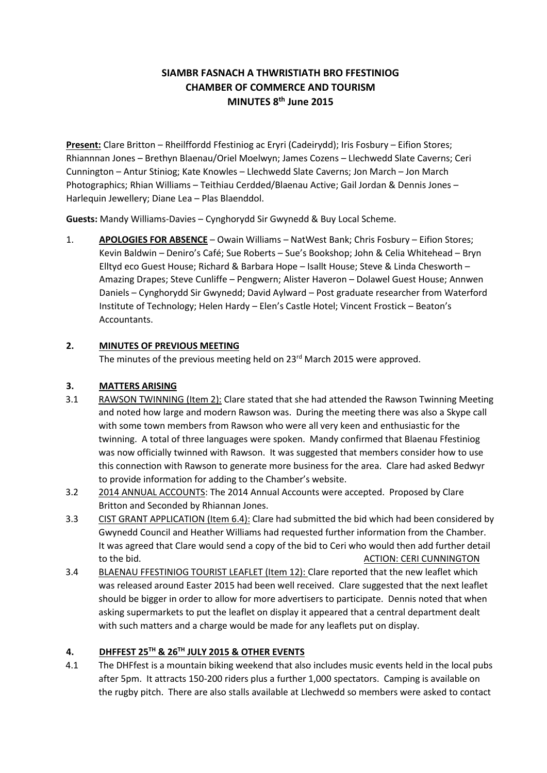# **SIAMBR FASNACH A THWRISTIATH BRO FFESTINIOG CHAMBER OF COMMERCE AND TOURISM MINUTES 8th June 2015**

**Present:** Clare Britton – Rheilffordd Ffestiniog ac Eryri (Cadeirydd); Iris Fosbury – Eifion Stores; Rhiannnan Jones – Brethyn Blaenau/Oriel Moelwyn; James Cozens – Llechwedd Slate Caverns; Ceri Cunnington – Antur Stiniog; Kate Knowles – Llechwedd Slate Caverns; Jon March – Jon March Photographics; Rhian Williams – Teithiau Cerdded/Blaenau Active; Gail Jordan & Dennis Jones – Harlequin Jewellery; Diane Lea – Plas Blaenddol.

**Guests:** Mandy Williams-Davies – Cynghorydd Sir Gwynedd & Buy Local Scheme.

1. **APOLOGIES FOR ABSENCE** – Owain Williams – NatWest Bank; Chris Fosbury – Eifion Stores; Kevin Baldwin – Deniro's Café; Sue Roberts – Sue's Bookshop; John & Celia Whitehead – Bryn Elltyd eco Guest House; Richard & Barbara Hope – Isallt House; Steve & Linda Chesworth – Amazing Drapes; Steve Cunliffe – Pengwern; Alister Haveron – Dolawel Guest House; Annwen Daniels – Cynghorydd Sir Gwynedd; David Aylward – Post graduate researcher from Waterford Institute of Technology; Helen Hardy – Elen's Castle Hotel; Vincent Frostick – Beaton's Accountants.

## **2. MINUTES OF PREVIOUS MEETING**

The minutes of the previous meeting held on 23<sup>rd</sup> March 2015 were approved.

## **3. MATTERS ARISING**

- 3.1 RAWSON TWINNING (Item 2): Clare stated that she had attended the Rawson Twinning Meeting and noted how large and modern Rawson was. During the meeting there was also a Skype call with some town members from Rawson who were all very keen and enthusiastic for the twinning. A total of three languages were spoken. Mandy confirmed that Blaenau Ffestiniog was now officially twinned with Rawson. It was suggested that members consider how to use this connection with Rawson to generate more business for the area. Clare had asked Bedwyr to provide information for adding to the Chamber's website.
- 3.2 2014 ANNUAL ACCOUNTS: The 2014 Annual Accounts were accepted. Proposed by Clare Britton and Seconded by Rhiannan Jones.
- 3.3 CIST GRANT APPLICATION (Item 6.4): Clare had submitted the bid which had been considered by Gwynedd Council and Heather Williams had requested further information from the Chamber. It was agreed that Clare would send a copy of the bid to Ceri who would then add further detail to the bid. Action of the bid. Action of the bid. Action of the bid. Action of the bid. Action of the bid.
- 3.4 BLAENAU FFESTINIOG TOURIST LEAFLET (Item 12): Clare reported that the new leaflet which was released around Easter 2015 had been well received. Clare suggested that the next leaflet should be bigger in order to allow for more advertisers to participate. Dennis noted that when asking supermarkets to put the leaflet on display it appeared that a central department dealt with such matters and a charge would be made for any leaflets put on display.

## **4. DHFFEST 25TH & 26TH JULY 2015 & OTHER EVENTS**

4.1 The DHFfest is a mountain biking weekend that also includes music events held in the local pubs after 5pm. It attracts 150-200 riders plus a further 1,000 spectators. Camping is available on the rugby pitch. There are also stalls available at Llechwedd so members were asked to contact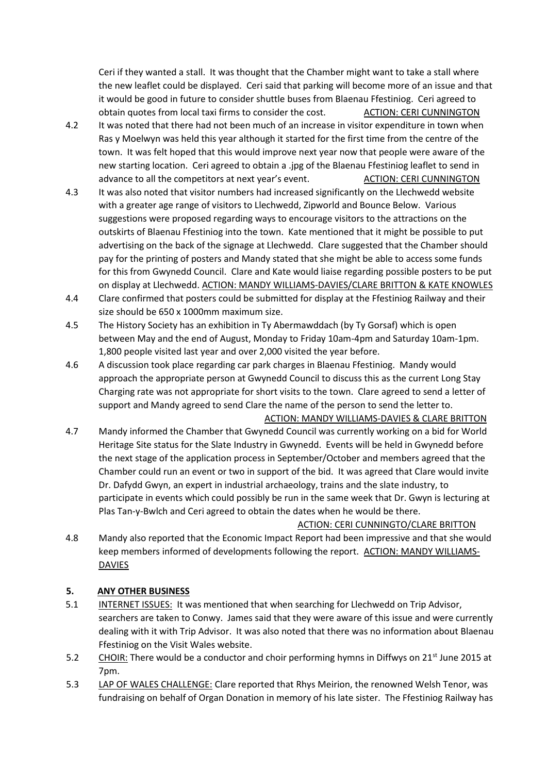Ceri if they wanted a stall. It was thought that the Chamber might want to take a stall where the new leaflet could be displayed. Ceri said that parking will become more of an issue and that it would be good in future to consider shuttle buses from Blaenau Ffestiniog. Ceri agreed to obtain quotes from local taxi firms to consider the cost. ACTION: CERI CUNNINGTON

- 4.2 It was noted that there had not been much of an increase in visitor expenditure in town when Ras y Moelwyn was held this year although it started for the first time from the centre of the town. It was felt hoped that this would improve next year now that people were aware of the new starting location. Ceri agreed to obtain a .jpg of the Blaenau Ffestiniog leaflet to send in advance to all the competitors at next year's event. ACTION: CERI CUNNINGTON
- 4.3 It was also noted that visitor numbers had increased significantly on the Llechwedd website with a greater age range of visitors to Llechwedd, Zipworld and Bounce Below. Various suggestions were proposed regarding ways to encourage visitors to the attractions on the outskirts of Blaenau Ffestiniog into the town. Kate mentioned that it might be possible to put advertising on the back of the signage at Llechwedd. Clare suggested that the Chamber should pay for the printing of posters and Mandy stated that she might be able to access some funds for this from Gwynedd Council. Clare and Kate would liaise regarding possible posters to be put on display at Llechwedd. ACTION: MANDY WILLIAMS-DAVIES/CLARE BRITTON & KATE KNOWLES
- 4.4 Clare confirmed that posters could be submitted for display at the Ffestiniog Railway and their size should be 650 x 1000mm maximum size.
- 4.5 The History Society has an exhibition in Ty Abermawddach (by Ty Gorsaf) which is open between May and the end of August, Monday to Friday 10am-4pm and Saturday 10am-1pm. 1,800 people visited last year and over 2,000 visited the year before.
- 4.6 A discussion took place regarding car park charges in Blaenau Ffestiniog. Mandy would approach the appropriate person at Gwynedd Council to discuss this as the current Long Stay Charging rate was not appropriate for short visits to the town. Clare agreed to send a letter of support and Mandy agreed to send Clare the name of the person to send the letter to.

#### ACTION: MANDY WILLIAMS-DAVIES & CLARE BRITTON

4.7 Mandy informed the Chamber that Gwynedd Council was currently working on a bid for World Heritage Site status for the Slate Industry in Gwynedd. Events will be held in Gwynedd before the next stage of the application process in September/October and members agreed that the Chamber could run an event or two in support of the bid. It was agreed that Clare would invite Dr. Dafydd Gwyn, an expert in industrial archaeology, trains and the slate industry, to participate in events which could possibly be run in the same week that Dr. Gwyn is lecturing at Plas Tan-y-Bwlch and Ceri agreed to obtain the dates when he would be there.

#### ACTION: CERI CUNNINGTO/CLARE BRITTON

4.8 Mandy also reported that the Economic Impact Report had been impressive and that she would keep members informed of developments following the report. ACTION: MANDY WILLIAMS-**DAVIES** 

### **5. ANY OTHER BUSINESS**

- 5.1 INTERNET ISSUES: It was mentioned that when searching for Llechwedd on Trip Advisor, searchers are taken to Conwy. James said that they were aware of this issue and were currently dealing with it with Trip Advisor. It was also noted that there was no information about Blaenau Ffestiniog on the Visit Wales website.
- 5.2 CHOIR: There would be a conductor and choir performing hymns in Diffwys on 21<sup>st</sup> June 2015 at 7pm.
- 5.3 LAP OF WALES CHALLENGE: Clare reported that Rhys Meirion, the renowned Welsh Tenor, was fundraising on behalf of Organ Donation in memory of his late sister. The Ffestiniog Railway has